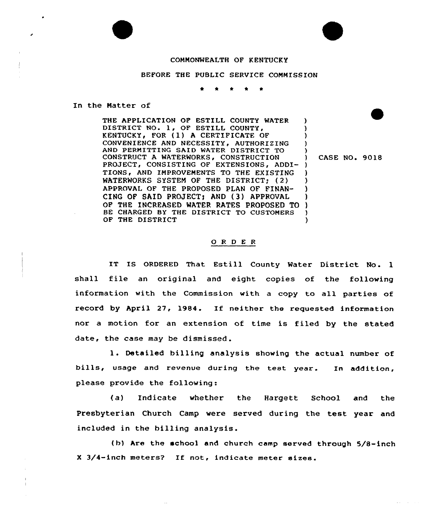## COMMONWEALTH OF KENTUCKY

## BEFORE THE PUBLIC SERVICE CONHISSION

\*

In the Natter of

THE APPLICATION OF ESTILL COUNTY WATER DISTRICT NO. 1, OF ESTILL COUNTY, KENTUCKY, FOR (1) A CERTIFICATE OF CONVENIENCE AND NECESSITY, AUTHORIZING AND PERMITTING SAID WATER DISTRICT TO CONSTRUCT A WATERWORKS, CONSTRUCTION PROJECT, CONSISTING OF EXTENSIONS, ADDI- ) TIONS, AND IMPROVEMENTS TO THE EXISTING WATERWORKS SYSTEM OF THE DISTRICT; (2) APPROVAL OF THE PROPOSED PLAN OF FINAN-CING DF SAID PROJECT) AND (3) APPROVAL OF THE INCREASED WATER RATES PROPOSED TO BE CHARGED BY THE DISTRICT TO CUSTOMERS OF THE DISTRICT ) ) ) ) ) CASE NO. 9018 ) ) ) ) ) ) )

## O R D E R

IT IS ORDERED That Estill County Water District No. 1 shall file an original and eight copies of the following information with the Commission with <sup>a</sup> copy to all parties of record by April 27, 1984. Xf neither the requested information nor a motion for an extension of time is filed by the stated date, the case may be dismissed.

1. Detailed billing analysis showing the actual number of bills, usage and revenue during the test year. In addition, please provide the following:

(a) Indicate whether the Hargett School and the Presbyterian Church Camp were served during the test year and included in the billing analysis.

(b) Are the school and church camp served through 5/8-inch X 3/4-inch meters? If not, indicate meter sizes.